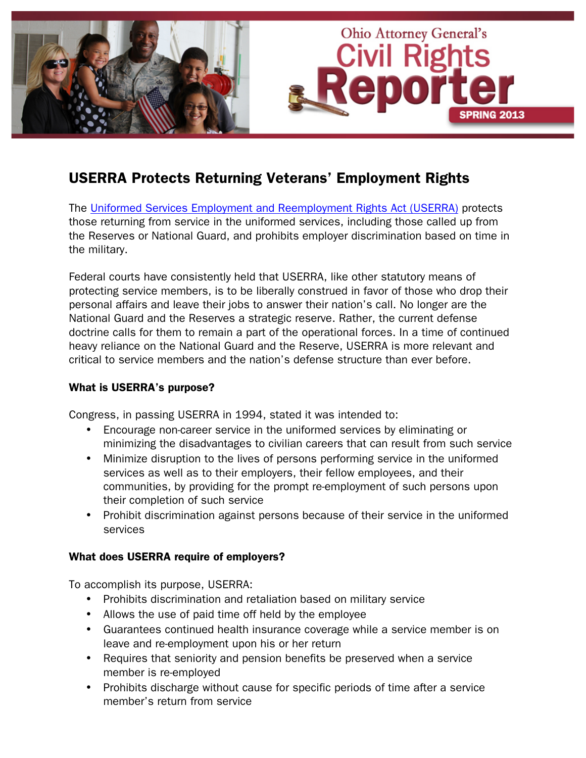

# USERRA Protects Returning Veterans' Employment Rights

The [Uniformed Services Employment and Reemployment Rights Act \(USERRA\)](http://www.dol.gov/compliance/laws/comp-userra.htm) protects those returning from service in the uniformed services, including those called up from the Reserves or National Guard, and prohibits employer discrimination based on time in the military.

Federal courts have consistently held that USERRA, like other statutory means of protecting service members, is to be liberally construed in favor of those who drop their personal affairs and leave their jobs to answer their nation's call. No longer are the National Guard and the Reserves a strategic reserve. Rather, the current defense doctrine calls for them to remain a part of the operational forces. In a time of continued heavy reliance on the National Guard and the Reserve, USERRA is more relevant and critical to service members and the nation's defense structure than ever before.

## What is USERRA's purpose?

Congress, in passing USERRA in 1994, stated it was intended to:

- Encourage non-career service in the uniformed services by eliminating or minimizing the disadvantages to civilian careers that can result from such service
- Minimize disruption to the lives of persons performing service in the uniformed services as well as to their employers, their fellow employees, and their communities, by providing for the prompt re-employment of such persons upon their completion of such service
- Prohibit discrimination against persons because of their service in the uniformed services

## What does USERRA require of employers?

To accomplish its purpose, USERRA:

- Prohibits discrimination and retaliation based on military service
- Allows the use of paid time off held by the employee
- Guarantees continued health insurance coverage while a service member is on leave and re-employment upon his or her return
- Requires that seniority and pension benefits be preserved when a service member is re-employed
- Prohibits discharge without cause for specific periods of time after a service member's return from service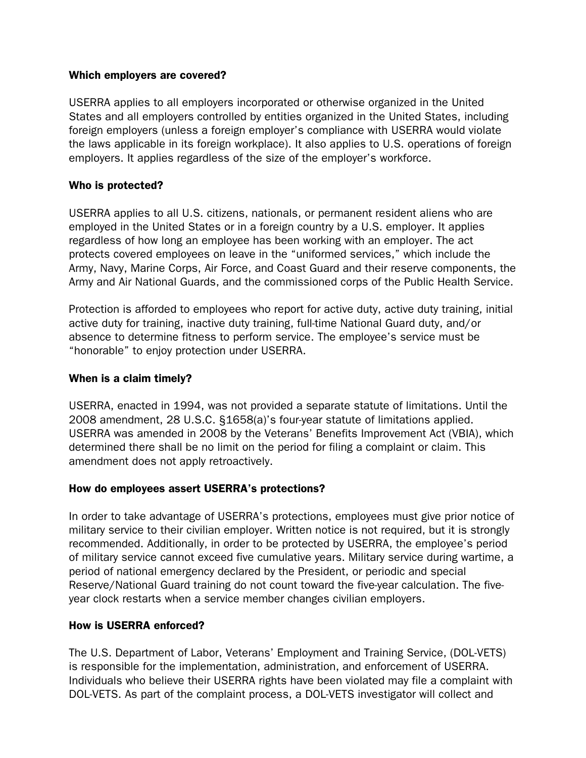### Which employers are covered?

USERRA applies to all employers incorporated or otherwise organized in the United States and all employers controlled by entities organized in the United States, including foreign employers (unless a foreign employer's compliance with USERRA would violate the laws applicable in its foreign workplace). It also applies to U.S. operations of foreign employers. It applies regardless of the size of the employer's workforce.

## Who is protected?

USERRA applies to all U.S. citizens, nationals, or permanent resident aliens who are employed in the United States or in a foreign country by a U.S. employer. It applies regardless of how long an employee has been working with an employer. The act protects covered employees on leave in the "uniformed services," which include the Army, Navy, Marine Corps, Air Force, and Coast Guard and their reserve components, the Army and Air National Guards, and the commissioned corps of the Public Health Service.

Protection is afforded to employees who report for active duty, active duty training, initial active duty for training, inactive duty training, full-time National Guard duty, and/or absence to determine fitness to perform service. The employee's service must be "honorable" to enjoy protection under USERRA.

### When is a claim timely?

USERRA, enacted in 1994, was not provided a separate statute of limitations. Until the 2008 amendment, 28 U.S.C. §1658(a)'s four-year statute of limitations applied. USERRA was amended in 2008 by the Veterans' Benefits Improvement Act (VBIA), which determined there shall be no limit on the period for filing a complaint or claim. This amendment does not apply retroactively.

## How do employees assert USERRA's protections?

In order to take advantage of USERRA's protections, employees must give prior notice of military service to their civilian employer. Written notice is not required, but it is strongly recommended. Additionally, in order to be protected by USERRA, the employee's period of military service cannot exceed five cumulative years. Military service during wartime, a period of national emergency declared by the President, or periodic and special Reserve/National Guard training do not count toward the five-year calculation. The fiveyear clock restarts when a service member changes civilian employers.

#### How is USERRA enforced?

The U.S. Department of Labor, Veterans' Employment and Training Service, (DOL-VETS) is responsible for the implementation, administration, and enforcement of USERRA. Individuals who believe their USERRA rights have been violated may file a complaint with DOL-VETS. As part of the complaint process, a DOL-VETS investigator will collect and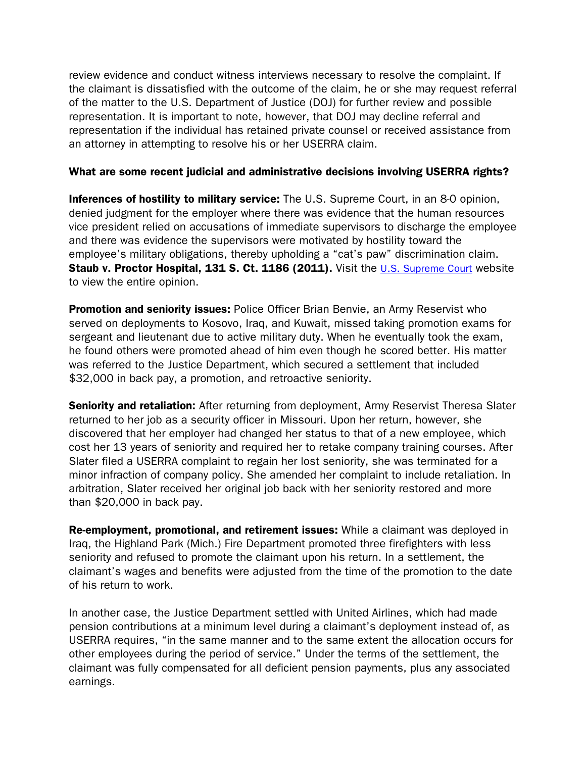review evidence and conduct witness interviews necessary to resolve the complaint. If the claimant is dissatisfied with the outcome of the claim, he or she may request referral of the matter to the U.S. Department of Justice (DOJ) for further review and possible representation. It is important to note, however, that DOJ may decline referral and representation if the individual has retained private counsel or received assistance from an attorney in attempting to resolve his or her USERRA claim.

### What are some recent judicial and administrative decisions involving USERRA rights?

Inferences of hostility to military service: The U.S. Supreme Court, in an 8-0 opinion, denied judgment for the employer where there was evidence that the human resources vice president relied on accusations of immediate supervisors to discharge the employee and there was evidence the supervisors were motivated by hostility toward the employee's military obligations, thereby upholding a "cat's paw" discrimination claim. Staub v. Proctor Hospital, 131 S. Ct. 1186 (2011). Visit the [U.S. Supreme Court](http://www.supremecourt.gov/opinions/10pdf/09-400.pdf) website to view the entire opinion.

**Promotion and seniority issues:** Police Officer Brian Benvie, an Army Reservist who served on deployments to Kosovo, Iraq, and Kuwait, missed taking promotion exams for sergeant and lieutenant due to active military duty. When he eventually took the exam, he found others were promoted ahead of him even though he scored better. His matter was referred to the Justice Department, which secured a settlement that included \$32,000 in back pay, a promotion, and retroactive seniority.

**Seniority and retaliation:** After returning from deployment, Army Reservist Theresa Slater returned to her job as a security officer in Missouri. Upon her return, however, she discovered that her employer had changed her status to that of a new employee, which cost her 13 years of seniority and required her to retake company training courses. After Slater filed a USERRA complaint to regain her lost seniority, she was terminated for a minor infraction of company policy. She amended her complaint to include retaliation. In arbitration, Slater received her original job back with her seniority restored and more than \$20,000 in back pay.

Re-employment, promotional, and retirement issues: While a claimant was deployed in Iraq, the Highland Park (Mich.) Fire Department promoted three firefighters with less seniority and refused to promote the claimant upon his return. In a settlement, the claimant's wages and benefits were adjusted from the time of the promotion to the date of his return to work.

In another case, the Justice Department settled with United Airlines, which had made pension contributions at a minimum level during a claimant's deployment instead of, as USERRA requires, "in the same manner and to the same extent the allocation occurs for other employees during the period of service." Under the terms of the settlement, the claimant was fully compensated for all deficient pension payments, plus any associated earnings.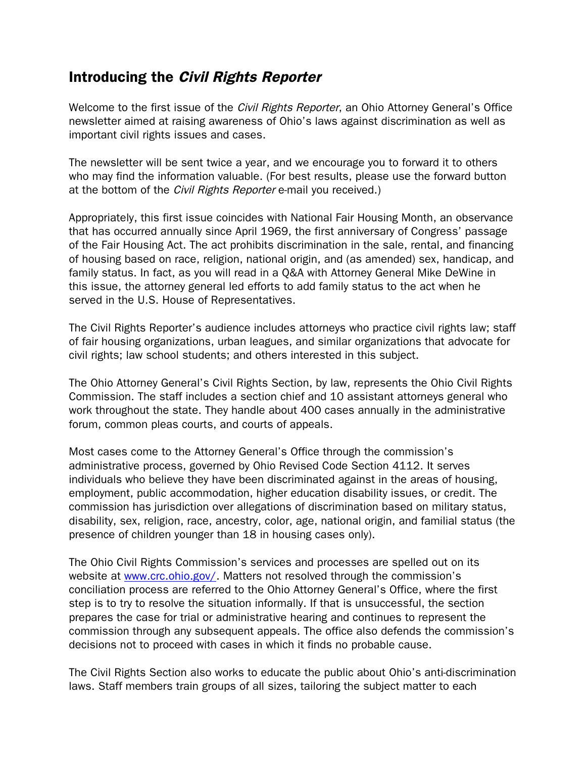## Introducing the Civil Rights Reporter

Welcome to the first issue of the *Civil Rights Reporter*, an Ohio Attorney General's Office newsletter aimed at raising awareness of Ohio's laws against discrimination as well as important civil rights issues and cases.

The newsletter will be sent twice a year, and we encourage you to forward it to others who may find the information valuable. (For best results, please use the forward button at the bottom of the *Civil Rights Reporter* e-mail you received.)

Appropriately, this first issue coincides with National Fair Housing Month, an observance that has occurred annually since April 1969, the first anniversary of Congress' passage of the Fair Housing Act. The act prohibits discrimination in the sale, rental, and financing of housing based on race, religion, national origin, and (as amended) sex, handicap, and family status. In fact, as you will read in a Q&A with Attorney General Mike DeWine in this issue, the attorney general led efforts to add family status to the act when he served in the U.S. House of Representatives.

The Civil Rights Reporter's audience includes attorneys who practice civil rights law; staff of fair housing organizations, urban leagues, and similar organizations that advocate for civil rights; law school students; and others interested in this subject.

The Ohio Attorney General's Civil Rights Section, by law, represents the Ohio Civil Rights Commission. The staff includes a section chief and 10 assistant attorneys general who work throughout the state. They handle about 400 cases annually in the administrative forum, common pleas courts, and courts of appeals.

Most cases come to the Attorney General's Office through the commission's administrative process, governed by Ohio Revised Code Section 4112. It serves individuals who believe they have been discriminated against in the areas of housing, employment, public accommodation, higher education disability issues, or credit. The commission has jurisdiction over allegations of discrimination based on military status, disability, sex, religion, race, ancestry, color, age, national origin, and familial status (the presence of children younger than 18 in housing cases only).

The Ohio Civil Rights Commission's services and processes are spelled out on its website at [www.crc.ohio.gov/.](http://www.crc.ohio.gov/) Matters not resolved through the commission's conciliation process are referred to the Ohio Attorney General's Office, where the first step is to try to resolve the situation informally. If that is unsuccessful, the section prepares the case for trial or administrative hearing and continues to represent the commission through any subsequent appeals. The office also defends the commission's decisions not to proceed with cases in which it finds no probable cause.

The Civil Rights Section also works to educate the public about Ohio's anti-discrimination laws. Staff members train groups of all sizes, tailoring the subject matter to each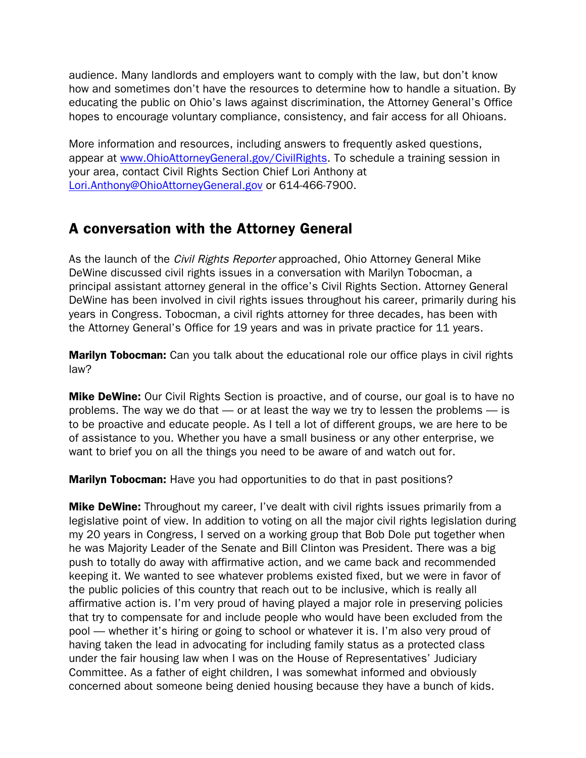audience. Many landlords and employers want to comply with the law, but don't know how and sometimes don't have the resources to determine how to handle a situation. By educating the public on Ohio's laws against discrimination, the Attorney General's Office hopes to encourage voluntary compliance, consistency, and fair access for all Ohioans.

More information and resources, including answers to frequently asked questions, appear at www.OhioAttorneyGeneral.gov/CivilRights. To schedule a training session in your area, contact Civil Rights Section Chief Lori Anthony at Lori.Anthony@OhioAttorneyGeneral.gov or 614-466-7900.

## A conversation with the Attorney General

As the launch of the *Civil Rights Reporter* approached, Ohio Attorney General Mike DeWine discussed civil rights issues in a conversation with Marilyn Tobocman, a principal assistant attorney general in the office's Civil Rights Section. Attorney General DeWine has been involved in civil rights issues throughout his career, primarily during his years in Congress. Tobocman, a civil rights attorney for three decades, has been with the Attorney General's Office for 19 years and was in private practice for 11 years.

**Marilyn Tobocman:** Can you talk about the educational role our office plays in civil rights law?

**Mike DeWine:** Our Civil Rights Section is proactive, and of course, our goal is to have no problems. The way we do that — or at least the way we try to lessen the problems — is to be proactive and educate people. As I tell a lot of different groups, we are here to be of assistance to you. Whether you have a small business or any other enterprise, we want to brief you on all the things you need to be aware of and watch out for.

**Marilyn Tobocman:** Have you had opportunities to do that in past positions?

**Mike DeWine:** Throughout my career, I've dealt with civil rights issues primarily from a legislative point of view. In addition to voting on all the major civil rights legislation during my 20 years in Congress, I served on a working group that Bob Dole put together when he was Majority Leader of the Senate and Bill Clinton was President. There was a big push to totally do away with affirmative action, and we came back and recommended keeping it. We wanted to see whatever problems existed fixed, but we were in favor of the public policies of this country that reach out to be inclusive, which is really all affirmative action is. I'm very proud of having played a major role in preserving policies that try to compensate for and include people who would have been excluded from the pool — whether it's hiring or going to school or whatever it is. I'm also very proud of having taken the lead in advocating for including family status as a protected class under the fair housing law when I was on the House of Representatives' Judiciary Committee. As a father of eight children, I was somewhat informed and obviously concerned about someone being denied housing because they have a bunch of kids.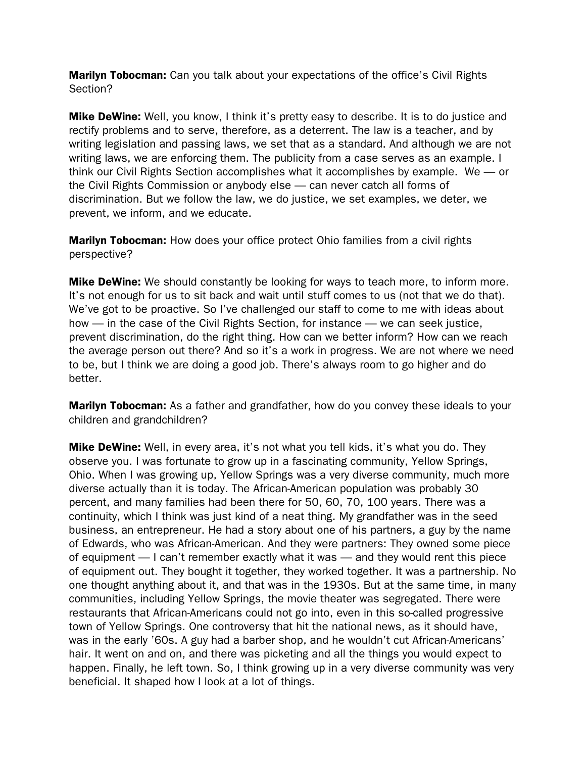**Marilyn Tobocman:** Can you talk about your expectations of the office's Civil Rights Section?

**Mike DeWine:** Well, you know, I think it's pretty easy to describe. It is to do justice and rectify problems and to serve, therefore, as a deterrent. The law is a teacher, and by writing legislation and passing laws, we set that as a standard. And although we are not writing laws, we are enforcing them. The publicity from a case serves as an example. I think our Civil Rights Section accomplishes what it accomplishes by example. We — or the Civil Rights Commission or anybody else — can never catch all forms of discrimination. But we follow the law, we do justice, we set examples, we deter, we prevent, we inform, and we educate.

**Marilyn Tobocman:** How does your office protect Ohio families from a civil rights perspective?

**Mike DeWine:** We should constantly be looking for ways to teach more, to inform more. It's not enough for us to sit back and wait until stuff comes to us (not that we do that). We've got to be proactive. So I've challenged our staff to come to me with ideas about how — in the case of the Civil Rights Section, for instance — we can seek justice, prevent discrimination, do the right thing. How can we better inform? How can we reach the average person out there? And so it's a work in progress. We are not where we need to be, but I think we are doing a good job. There's always room to go higher and do better.

**Marilyn Tobocman:** As a father and grandfather, how do you convey these ideals to your children and grandchildren?

Mike DeWine: Well, in every area, it's not what you tell kids, it's what you do. They observe you. I was fortunate to grow up in a fascinating community, Yellow Springs, Ohio. When I was growing up, Yellow Springs was a very diverse community, much more diverse actually than it is today. The African-American population was probably 30 percent, and many families had been there for 50, 60, 70, 100 years. There was a continuity, which I think was just kind of a neat thing. My grandfather was in the seed business, an entrepreneur. He had a story about one of his partners, a guy by the name of Edwards, who was African-American. And they were partners: They owned some piece of equipment — I can't remember exactly what it was — and they would rent this piece of equipment out. They bought it together, they worked together. It was a partnership. No one thought anything about it, and that was in the 1930s. But at the same time, in many communities, including Yellow Springs, the movie theater was segregated. There were restaurants that African-Americans could not go into, even in this so-called progressive town of Yellow Springs. One controversy that hit the national news, as it should have, was in the early '60s. A guy had a barber shop, and he wouldn't cut African-Americans' hair. It went on and on, and there was picketing and all the things you would expect to happen. Finally, he left town. So, I think growing up in a very diverse community was very beneficial. It shaped how I look at a lot of things.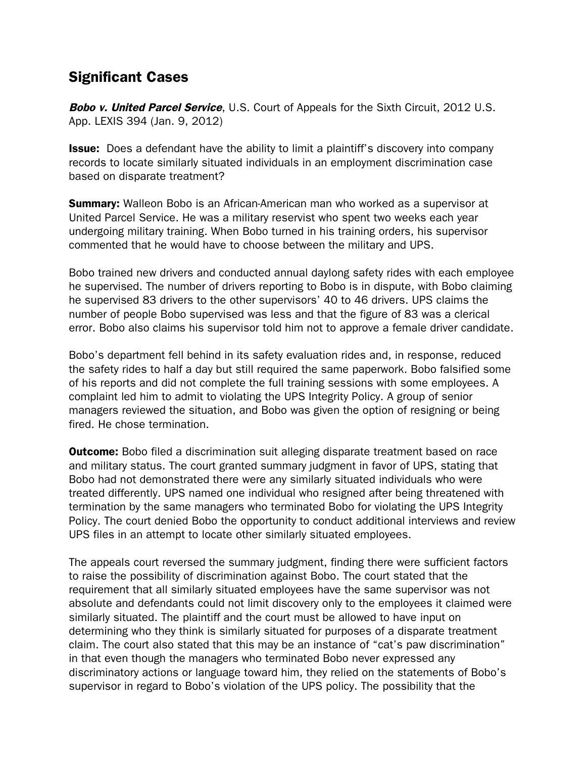## Significant Cases

**Bobo v. United Parcel Service**, U.S. Court of Appeals for the Sixth Circuit, 2012 U.S. App. LEXIS 394 (Jan. 9, 2012)

**Issue:** Does a defendant have the ability to limit a plaintiff's discovery into company records to locate similarly situated individuals in an employment discrimination case based on disparate treatment?

**Summary:** Walleon Bobo is an African-American man who worked as a supervisor at United Parcel Service. He was a military reservist who spent two weeks each year undergoing military training. When Bobo turned in his training orders, his supervisor commented that he would have to choose between the military and UPS.

Bobo trained new drivers and conducted annual daylong safety rides with each employee he supervised. The number of drivers reporting to Bobo is in dispute, with Bobo claiming he supervised 83 drivers to the other supervisors' 40 to 46 drivers. UPS claims the number of people Bobo supervised was less and that the figure of 83 was a clerical error. Bobo also claims his supervisor told him not to approve a female driver candidate.

Bobo's department fell behind in its safety evaluation rides and, in response, reduced the safety rides to half a day but still required the same paperwork. Bobo falsified some of his reports and did not complete the full training sessions with some employees. A complaint led him to admit to violating the UPS Integrity Policy. A group of senior managers reviewed the situation, and Bobo was given the option of resigning or being fired. He chose termination.

**Outcome:** Bobo filed a discrimination suit alleging disparate treatment based on race and military status. The court granted summary judgment in favor of UPS, stating that Bobo had not demonstrated there were any similarly situated individuals who were treated differently. UPS named one individual who resigned after being threatened with termination by the same managers who terminated Bobo for violating the UPS Integrity Policy. The court denied Bobo the opportunity to conduct additional interviews and review UPS files in an attempt to locate other similarly situated employees.

The appeals court reversed the summary judgment, finding there were sufficient factors to raise the possibility of discrimination against Bobo. The court stated that the requirement that all similarly situated employees have the same supervisor was not absolute and defendants could not limit discovery only to the employees it claimed were similarly situated. The plaintiff and the court must be allowed to have input on determining who they think is similarly situated for purposes of a disparate treatment claim. The court also stated that this may be an instance of "cat's paw discrimination" in that even though the managers who terminated Bobo never expressed any discriminatory actions or language toward him, they relied on the statements of Bobo's supervisor in regard to Bobo's violation of the UPS policy. The possibility that the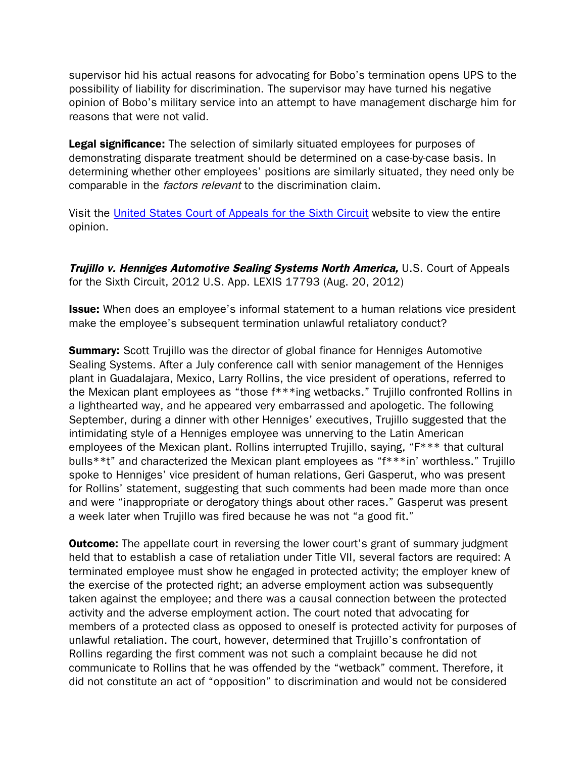supervisor hid his actual reasons for advocating for Bobo's termination opens UPS to the possibility of liability for discrimination. The supervisor may have turned his negative opinion of Bobo's military service into an attempt to have management discharge him for reasons that were not valid.

Legal significance: The selection of similarly situated employees for purposes of demonstrating disparate treatment should be determined on a case-by-case basis. In determining whether other employees' positions are similarly situated, they need only be comparable in the *factors relevant* to the discrimination claim.

Visit the [United States Court of Appeals for the Sixth Circuit](http://www.ca6.uscourts.gov/opinions.pdf/12a0006p-06.pdf) website to view the entire opinion.

Trujillo v. Henniges Automotive Sealing Systems North America, U.S. Court of Appeals for the Sixth Circuit, 2012 U.S. App. LEXIS 17793 (Aug. 20, 2012)

**Issue:** When does an employee's informal statement to a human relations vice president make the employee's subsequent termination unlawful retaliatory conduct?

**Summary:** Scott Trujillo was the director of global finance for Henniges Automotive Sealing Systems. After a July conference call with senior management of the Henniges plant in Guadalajara, Mexico, Larry Rollins, the vice president of operations, referred to the Mexican plant employees as "those f\*\*\*ing wetbacks." Trujillo confronted Rollins in a lighthearted way, and he appeared very embarrassed and apologetic. The following September, during a dinner with other Henniges' executives, Trujillo suggested that the intimidating style of a Henniges employee was unnerving to the Latin American employees of the Mexican plant. Rollins interrupted Trujillo, saying, "F\*\*\* that cultural bulls\*\*t" and characterized the Mexican plant employees as "f\*\*\*in' worthless." Trujillo spoke to Henniges' vice president of human relations, Geri Gasperut, who was present for Rollins' statement, suggesting that such comments had been made more than once and were "inappropriate or derogatory things about other races." Gasperut was present a week later when Trujillo was fired because he was not "a good fit."

**Outcome:** The appellate court in reversing the lower court's grant of summary judgment held that to establish a case of retaliation under Title VII, several factors are required: A terminated employee must show he engaged in protected activity; the employer knew of the exercise of the protected right; an adverse employment action was subsequently taken against the employee; and there was a causal connection between the protected activity and the adverse employment action. The court noted that advocating for members of a protected class as opposed to oneself is protected activity for purposes of unlawful retaliation. The court, however, determined that Trujillo's confrontation of Rollins regarding the first comment was not such a complaint because he did not communicate to Rollins that he was offended by the "wetback" comment. Therefore, it did not constitute an act of "opposition" to discrimination and would not be considered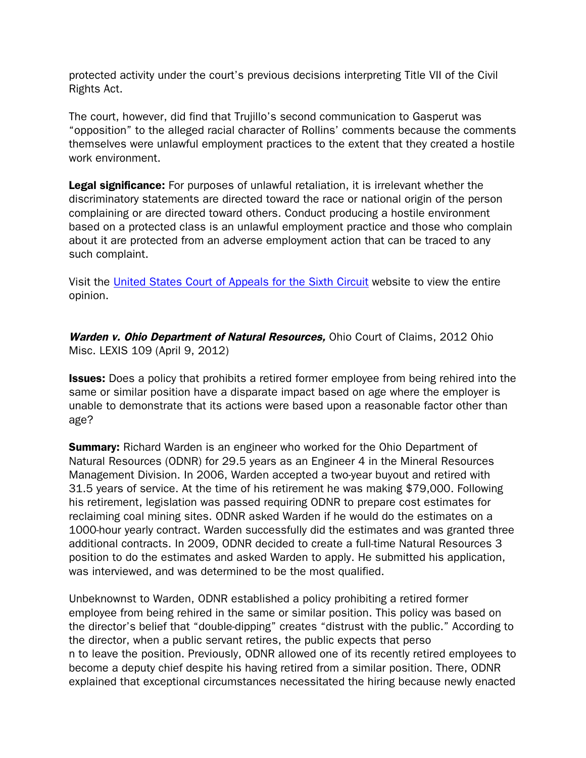protected activity under the court's previous decisions interpreting Title VII of the Civil Rights Act.

The court, however, did find that Trujillo's second communication to Gasperut was "opposition" to the alleged racial character of Rollins' comments because the comments themselves were unlawful employment practices to the extent that they created a hostile work environment.

Legal significance: For purposes of unlawful retaliation, it is irrelevant whether the discriminatory statements are directed toward the race or national origin of the person complaining or are directed toward others. Conduct producing a hostile environment based on a protected class is an unlawful employment practice and those who complain about it are protected from an adverse employment action that can be traced to any such complaint.

Visit the United States [Court of Appeals for the Sixth Circuit](http://www.ca6.uscourts.gov/opinions.pdf/12a0919n-06.pdf) website to view the entire opinion.

Warden v. Ohio Department of Natural Resources, Ohio Court of Claims, 2012 Ohio Misc. LEXIS 109 (April 9, 2012)

**Issues:** Does a policy that prohibits a retired former employee from being rehired into the same or similar position have a disparate impact based on age where the employer is unable to demonstrate that its actions were based upon a reasonable factor other than age?

**Summary:** Richard Warden is an engineer who worked for the Ohio Department of Natural Resources (ODNR) for 29.5 years as an Engineer 4 in the Mineral Resources Management Division. In 2006, Warden accepted a two-year buyout and retired with 31.5 years of service. At the time of his retirement he was making \$79,000. Following his retirement, legislation was passed requiring ODNR to prepare cost estimates for reclaiming coal mining sites. ODNR asked Warden if he would do the estimates on a 1000-hour yearly contract. Warden successfully did the estimates and was granted three additional contracts. In 2009, ODNR decided to create a full-time Natural Resources 3 position to do the estimates and asked Warden to apply. He submitted his application, was interviewed, and was determined to be the most qualified.

Unbeknownst to Warden, ODNR established a policy prohibiting a retired former employee from being rehired in the same or similar position. This policy was based on the director's belief that "double-dipping" creates "distrust with the public." According to the director, when a public servant retires, the public expects that perso n to leave the position. Previously, ODNR allowed one of its recently retired employees to become a deputy chief despite his having retired from a similar position. There, ODNR explained that exceptional circumstances necessitated the hiring because newly enacted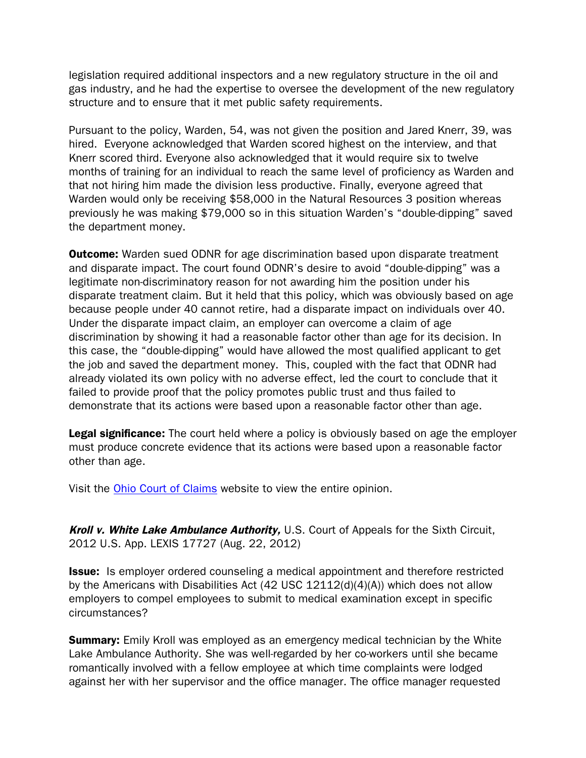legislation required additional inspectors and a new regulatory structure in the oil and gas industry, and he had the expertise to oversee the development of the new regulatory structure and to ensure that it met public safety requirements.

Pursuant to the policy, Warden, 54, was not given the position and Jared Knerr, 39, was hired. Everyone acknowledged that Warden scored highest on the interview, and that Knerr scored third. Everyone also acknowledged that it would require six to twelve months of training for an individual to reach the same level of proficiency as Warden and that not hiring him made the division less productive. Finally, everyone agreed that Warden would only be receiving \$58,000 in the Natural Resources 3 position whereas previously he was making \$79,000 so in this situation Warden's "double-dipping" saved the department money.

**Outcome:** Warden sued ODNR for age discrimination based upon disparate treatment and disparate impact. The court found ODNR's desire to avoid "double-dipping" was a legitimate non-discriminatory reason for not awarding him the position under his disparate treatment claim. But it held that this policy, which was obviously based on age because people under 40 cannot retire, had a disparate impact on individuals over 40. Under the disparate impact claim, an employer can overcome a claim of age discrimination by showing it had a reasonable factor other than age for its decision. In this case, the "double-dipping" would have allowed the most qualified applicant to get the job and saved the department money. This, coupled with the fact that ODNR had already violated its own policy with no adverse effect, led the court to conclude that it failed to provide proof that the policy promotes public trust and thus failed to demonstrate that its actions were based upon a reasonable factor other than age.

**Legal significance:** The court held where a policy is obviously based on age the employer must produce concrete evidence that its actions were based upon a reasonable factor other than age.

Visit the [Ohio Court of Claims](http://www.supremecourt.ohio.gov/rod/docs/pdf/13/2012/2012-ohio-3854.pdf) website to view the entire opinion.

Kroll v. White Lake Ambulance Authority, U.S. Court of Appeals for the Sixth Circuit, 2012 U.S. App. LEXIS 17727 (Aug. 22, 2012)

**Issue:** Is employer ordered counseling a medical appointment and therefore restricted by the Americans with Disabilities Act (42 USC 12112(d)(4)(A)) which does not allow employers to compel employees to submit to medical examination except in specific circumstances?

**Summary:** Emily Kroll was employed as an emergency medical technician by the White Lake Ambulance Authority. She was well-regarded by her co-workers until she became romantically involved with a fellow employee at which time complaints were lodged against her with her supervisor and the office manager. The office manager requested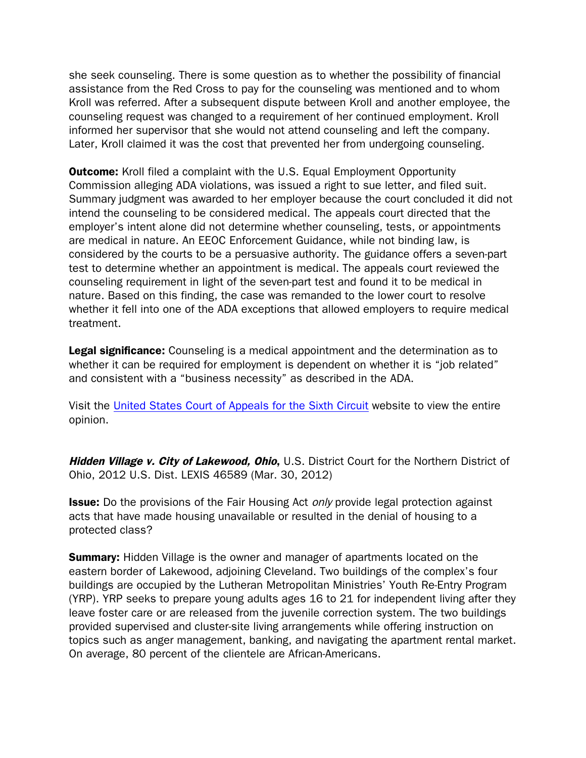she seek counseling. There is some question as to whether the possibility of financial assistance from the Red Cross to pay for the counseling was mentioned and to whom Kroll was referred. After a subsequent dispute between Kroll and another employee, the counseling request was changed to a requirement of her continued employment. Kroll informed her supervisor that she would not attend counseling and left the company. Later, Kroll claimed it was the cost that prevented her from undergoing counseling.

**Outcome:** Kroll filed a complaint with the U.S. Equal Employment Opportunity Commission alleging ADA violations, was issued a right to sue letter, and filed suit. Summary judgment was awarded to her employer because the court concluded it did not intend the counseling to be considered medical. The appeals court directed that the employer's intent alone did not determine whether counseling, tests, or appointments are medical in nature. An EEOC Enforcement Guidance, while not binding law, is considered by the courts to be a persuasive authority. The guidance offers a seven-part test to determine whether an appointment is medical. The appeals court reviewed the counseling requirement in light of the seven-part test and found it to be medical in nature. Based on this finding, the case was remanded to the lower court to resolve whether it fell into one of the ADA exceptions that allowed employers to require medical treatment.

**Legal significance:** Counseling is a medical appointment and the determination as to whether it can be required for employment is dependent on whether it is "job related" and consistent with a "business necessity" as described in the ADA.

Visit the [United States Court of Appeals for the Sixth Circuit](http://www.google.com/url?sa=t&rct=j&q=kroll v. white lake ambulance authority&source=web&cd=1&sqi=2&ved=0CDMQFjAA&url=http%3A%2F%2Fwww.ca6.uscourts.gov%2Fopinions.pdf%2F12a0276p-06.pdf&ei=NbYnUZH4IdOC0QGS1ICABw&usg=AFQjCNG67mS80a43Y1lbOPUU3dlrdgjW3A) website to view the entire opinion.

Hidden Village v. City of Lakewood, Ohio, U.S. District Court for the Northern District of Ohio, 2012 U.S. Dist. LEXIS 46589 (Mar. 30, 2012)

**Issue:** Do the provisions of the Fair Housing Act *only* provide legal protection against acts that have made housing unavailable or resulted in the denial of housing to a protected class?

**Summary:** Hidden Village is the owner and manager of apartments located on the eastern border of Lakewood, adjoining Cleveland. Two buildings of the complex's four buildings are occupied by the Lutheran Metropolitan Ministries' Youth Re-Entry Program (YRP). YRP seeks to prepare young adults ages 16 to 21 for independent living after they leave foster care or are released from the juvenile correction system. The two buildings provided supervised and cluster-site living arrangements while offering instruction on topics such as anger management, banking, and navigating the apartment rental market. On average, 80 percent of the clientele are African-Americans.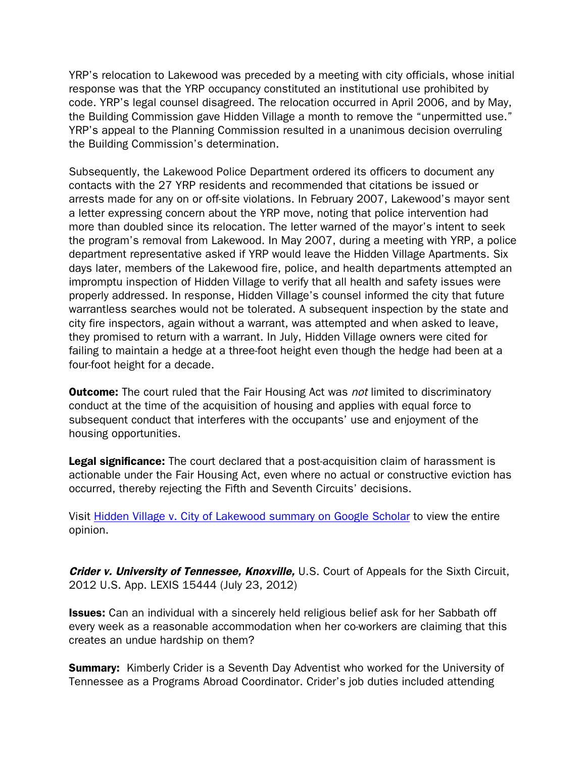YRP's relocation to Lakewood was preceded by a meeting with city officials, whose initial response was that the YRP occupancy constituted an institutional use prohibited by code. YRP's legal counsel disagreed. The relocation occurred in April 2006, and by May, the Building Commission gave Hidden Village a month to remove the "unpermitted use." YRP's appeal to the Planning Commission resulted in a unanimous decision overruling the Building Commission's determination.

Subsequently, the Lakewood Police Department ordered its officers to document any contacts with the 27 YRP residents and recommended that citations be issued or arrests made for any on or off-site violations. In February 2007, Lakewood's mayor sent a letter expressing concern about the YRP move, noting that police intervention had more than doubled since its relocation. The letter warned of the mayor's intent to seek the program's removal from Lakewood. In May 2007, during a meeting with YRP, a police department representative asked if YRP would leave the Hidden Village Apartments. Six days later, members of the Lakewood fire, police, and health departments attempted an impromptu inspection of Hidden Village to verify that all health and safety issues were properly addressed. In response, Hidden Village's counsel informed the city that future warrantless searches would not be tolerated. A subsequent inspection by the state and city fire inspectors, again without a warrant, was attempted and when asked to leave, they promised to return with a warrant. In July, Hidden Village owners were cited for failing to maintain a hedge at a three-foot height even though the hedge had been at a four-foot height for a decade.

**Outcome:** The court ruled that the Fair Housing Act was not limited to discriminatory conduct at the time of the acquisition of housing and applies with equal force to subsequent conduct that interferes with the occupants' use and enjoyment of the housing opportunities.

Legal significance: The court declared that a post-acquisition claim of harassment is actionable under the Fair Housing Act, even where no actual or constructive eviction has occurred, thereby rejecting the Fifth and Seventh Circuits' decisions.

Visit [Hidden Village v. City of Lakewood summary on Google Scholar](http://scholar.google.com/scholar_case?case=1873875399834312481&q=867+F.Supp.+2d+920&hl=en&as_sdt=2,36) to view the entire opinion.

Crider v. University of Tennessee, Knoxville, U.S. Court of Appeals for the Sixth Circuit, 2012 U.S. App. LEXIS 15444 (July 23, 2012)

**Issues:** Can an individual with a sincerely held religious belief ask for her Sabbath off every week as a reasonable accommodation when her co-workers are claiming that this creates an undue hardship on them?

**Summary:** Kimberly Crider is a Seventh Day Adventist who worked for the University of Tennessee as a Programs Abroad Coordinator. Crider's job duties included attending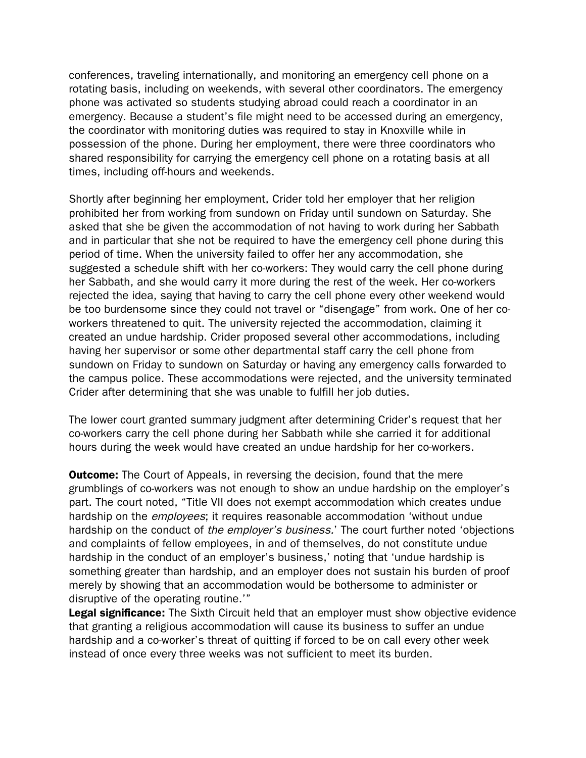conferences, traveling internationally, and monitoring an emergency cell phone on a rotating basis, including on weekends, with several other coordinators. The emergency phone was activated so students studying abroad could reach a coordinator in an emergency. Because a student's file might need to be accessed during an emergency, the coordinator with monitoring duties was required to stay in Knoxville while in possession of the phone. During her employment, there were three coordinators who shared responsibility for carrying the emergency cell phone on a rotating basis at all times, including off-hours and weekends.

Shortly after beginning her employment, Crider told her employer that her religion prohibited her from working from sundown on Friday until sundown on Saturday. She asked that she be given the accommodation of not having to work during her Sabbath and in particular that she not be required to have the emergency cell phone during this period of time. When the university failed to offer her any accommodation, she suggested a schedule shift with her co-workers: They would carry the cell phone during her Sabbath, and she would carry it more during the rest of the week. Her co-workers rejected the idea, saying that having to carry the cell phone every other weekend would be too burdensome since they could not travel or "disengage" from work. One of her coworkers threatened to quit. The university rejected the accommodation, claiming it created an undue hardship. Crider proposed several other accommodations, including having her supervisor or some other departmental staff carry the cell phone from sundown on Friday to sundown on Saturday or having any emergency calls forwarded to the campus police. These accommodations were rejected, and the university terminated Crider after determining that she was unable to fulfill her job duties.

The lower court granted summary judgment after determining Crider's request that her co-workers carry the cell phone during her Sabbath while she carried it for additional hours during the week would have created an undue hardship for her co-workers.

**Outcome:** The Court of Appeals, in reversing the decision, found that the mere grumblings of co-workers was not enough to show an undue hardship on the employer's part. The court noted, "Title VII does not exempt accommodation which creates undue hardship on the *employees*; it requires reasonable accommodation 'without undue hardship on the conduct of the employer's business.' The court further noted 'objections and complaints of fellow employees, in and of themselves, do not constitute undue hardship in the conduct of an employer's business,' noting that 'undue hardship is something greater than hardship, and an employer does not sustain his burden of proof merely by showing that an accommodation would be bothersome to administer or disruptive of the operating routine.'"

**Legal significance:** The Sixth Circuit held that an employer must show objective evidence that granting a religious accommodation will cause its business to suffer an undue hardship and a co-worker's threat of quitting if forced to be on call every other week instead of once every three weeks was not sufficient to meet its burden.